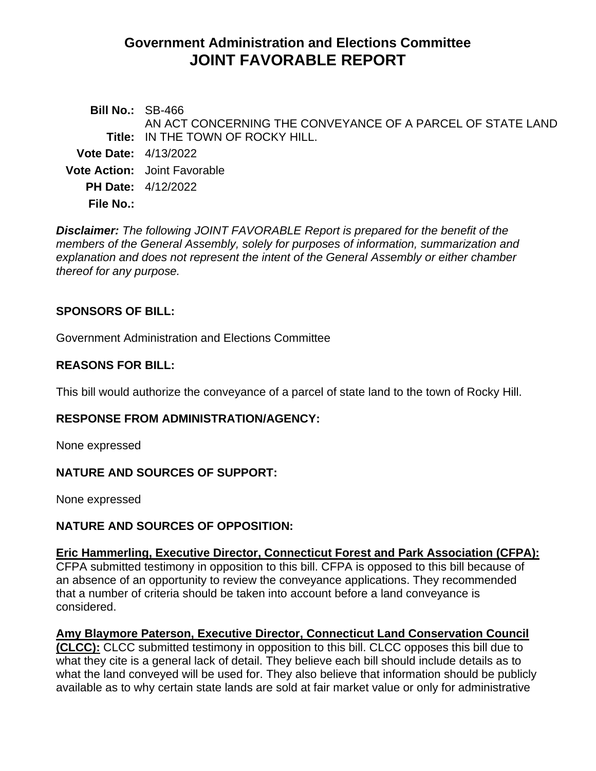# **Government Administration and Elections Committee JOINT FAVORABLE REPORT**

**Bill No.:** SB-466 **Title:** IN THE TOWN OF ROCKY HILL. AN ACT CONCERNING THE CONVEYANCE OF A PARCEL OF STATE LAND **Vote Date:** 4/13/2022 **Vote Action:** Joint Favorable **PH Date:** 4/12/2022 **File No.:**

*Disclaimer: The following JOINT FAVORABLE Report is prepared for the benefit of the members of the General Assembly, solely for purposes of information, summarization and explanation and does not represent the intent of the General Assembly or either chamber thereof for any purpose.*

## **SPONSORS OF BILL:**

Government Administration and Elections Committee

## **REASONS FOR BILL:**

This bill would authorize the conveyance of a parcel of state land to the town of Rocky Hill.

### **RESPONSE FROM ADMINISTRATION/AGENCY:**

None expressed

### **NATURE AND SOURCES OF SUPPORT:**

None expressed

### **NATURE AND SOURCES OF OPPOSITION:**

### **Eric Hammerling, Executive Director, Connecticut Forest and Park Association (CFPA):**

CFPA submitted testimony in opposition to this bill. CFPA is opposed to this bill because of an absence of an opportunity to review the conveyance applications. They recommended that a number of criteria should be taken into account before a land conveyance is considered.

### **Amy Blaymore Paterson, Executive Director, Connecticut Land Conservation Council**

**(CLCC):** CLCC submitted testimony in opposition to this bill. CLCC opposes this bill due to what they cite is a general lack of detail. They believe each bill should include details as to what the land conveyed will be used for. They also believe that information should be publicly available as to why certain state lands are sold at fair market value or only for administrative